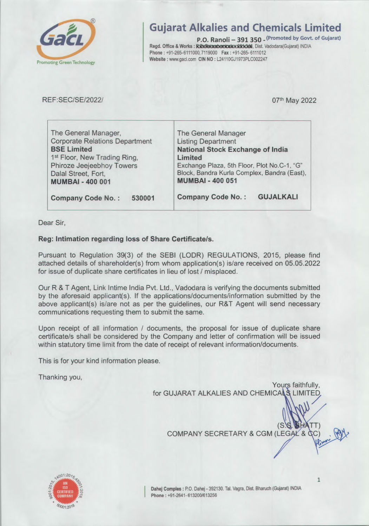

# Gujarat Alkalies and Chemicals Limited

P.O. Ranoli - 391 350 - <sup>(Promoted by Govt. of Gujarat)</sup> Regd. Office & Works: RXXR3t00XDEXDICXXXXXXX, Dist. Vadodara(Gujarat) INDIA Phone: +91-265-6111000,7119000 Fax: +91-265-6111012 Website : www.gacl.com CIN NO : L24110GJ1973PLC002247

REF:SEC/SE/2022/

O7th May 2022

| The General Manager                          |  |  |  |  |
|----------------------------------------------|--|--|--|--|
| <b>Listing Department</b>                    |  |  |  |  |
| <b>National Stock Exchange of India</b>      |  |  |  |  |
| Limited                                      |  |  |  |  |
| Exchange Plaza, 5th Floor, Plot No.C-1, "G"  |  |  |  |  |
| Block, Bandra Kurla Complex, Bandra (East),  |  |  |  |  |
| <b>MUMBAI - 400 051</b>                      |  |  |  |  |
| <b>Company Code No.:</b><br><b>GUJALKALI</b> |  |  |  |  |
|                                              |  |  |  |  |

Dear Sir,

# Reg: Intimation regarding loss of Share Certificate/s.

Pursuant to Regulation 39(3) of the SEBI (LODR) REGULATIONS, 2015, please find attached details of shareholder(s) from whom application(s) is/are received on 05.05.2022 for issue of duplicate share certificates in lieu of lost / misplaced

Our R & T Agent, Link Intime India Pvt. Ltd., Vadodara is verifying the documents submitted by the aforesaid applicant(s). If the applications/documents/information submitted by the above applicant(s) is/are not as per the guidelines, our R&T Agent will send necessary communications requesting them to submit the same

Upon receipt of all information / documents, the proposal for issue of duplicate share certificate/s shall be considered by the Company and letter of confirmation will be issued within statutory time limit from the date of receipt of relevant information/documents.

This is for your kind information please

Thanking you,

Yours faithfully, for GUJARAT ALKALIES AND CHEMICALS LIMITED

COMPANY SECRETARY & CGM (LEGAL & QC)



Dahej Comples: P.O. Dahej - 392130. Tal. Vagra, Dist. Bharuch (Gujarat) INDIA Phone: +91-2641-613200/613256

1

いんの しゃく しゃくん

 $(S.S.S.B.HATT)$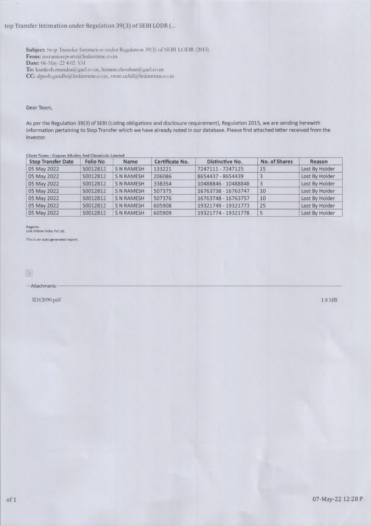## top Transfer Intimation under Regulation 39(3) of SEBI LODR (...

Subject: Stop Transfer Intimation under Regulation 39(3) of SEBI LODR (2015) From: instamisreports@linkintime.co.in Date: 06-Mar-22 4:02 AM **Date:** 06-NIar-22 4:02 ANI To: kamlesh.mundra@gacl.co.in, himani.cho uhan@gacl.co.in To: kamlesh.mundra@gacl.co.in, himani.chouhan@gacl.co.in<br>CC: alpesh.gandhi@linkintime.co.in, swati.uchil@linkintime.co.in

#### Dear Team,

As per the Regulation 39(3) of SEBI (Listing obligations and disclosure requirement), Regulation 2015, we are sending herewith information pertaining to Stop Transfer which we have already noted in our database. Please find attached letter received from the Investor.

| <b>Client Name: Gujarat Alkalies And Chemicals Limited</b> |                 |                   |                 |                        |                |                |  |  |
|------------------------------------------------------------|-----------------|-------------------|-----------------|------------------------|----------------|----------------|--|--|
| <b>Stop Transfer Date</b>                                  | <b>Folio No</b> | <b>Name</b>       | Certificate No. | <b>Distinctive No.</b> | No. of Shares  | Reason         |  |  |
| 05 May 2022                                                | S0012812        | <b>SNRAMESH</b>   | 133221          | 7247111 - 7247125      | 15             | Lost By Holder |  |  |
| 05 May 2022                                                | S0012812        | <b>S N RAMESH</b> | 206086          | 8654437 - 8654439      | 3              | Lost By Holder |  |  |
| 05 May 2022                                                | S0012812        | <b>SNRAMESH</b>   | 338354          | 10488846 - 10488848    | $\overline{3}$ | Lost By Holder |  |  |
| 05 May 2022                                                | S0012812        | <b>SN RAMESH</b>  | 507375          | 16763738 - 16763747    | 10             | Lost By Holder |  |  |
| 05 May 2022                                                | S0012812        | <b>SNRAMESH</b>   | 507376          | 16763748 - 16763757    | 10             | Lost By Holder |  |  |
| 05 May 2022                                                | S0012812        | <b>S N RAMESH</b> | 605908          | 19321749 - 19321773    | 25             | Lost By Holder |  |  |
| 05 May 2022                                                | S0012812        | <b>S N RAMESH</b> | 605909          | 19321774 - 19321778    | 5              | Lost By Holder |  |  |

Regards<br>Link Intime India Pvt Ltd.

This is an auto generated report.

 $-$ Attachments:

 $1D12090.pdf$   $1.8\text{ MB}$